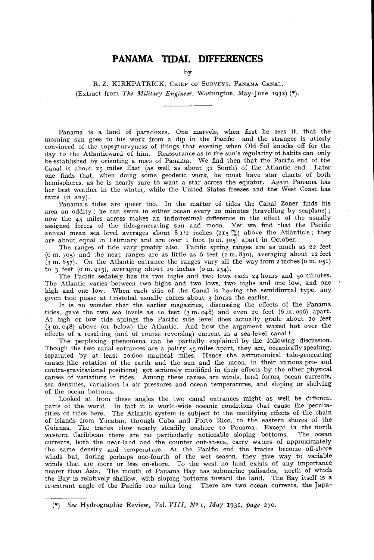## **PANAMA TIDAL DIFFERENCES**

**by**

 $R$ , Z. KIRKPATRICK, CHIEF OF SURVEYS, PANAMA CANAL. **(Extract from** *The Military Engineer,* **Washington, May-June 1932) (\*)**

**Panama is a land of paradoxes. One marvels, when first he sees it, that the morning sun goes to his work from a dip in the Pacific ; and the stranger is utterly convinced of the topsyturvyness of things that evening when Old Sol knocks off for the day to the Atlanticward of him. Reassurance as to the sun's regularity of habits can only be established by orienting a map of Panama. We find then that the Pacific end of the Canal is about 25 miles East (as well as about 32 South) of the Atlantic end. Later one finds that, when doing some geodetic work, he must have star charts of both hemispheres, as he is nearly sure to want a star across the equator. Again Panama has her best weather in the winter, while the United States freezes and the West Coast has rains (if any).**

**Panama's tides are queer too. In the matter of tides the Canal Zoner finds his area an oddity ; he can swim in either ocean every 20 minutes (travelling by seaplane) ; now the 45 miles across makes an infinitesimal difference in the effect of the usually assigned forces of the tide-generating sun and moon. Yet we find that the Pacific** annual mean sea level averages about  $81/2$  inches  $(215 \frac{m}{6})$  above the Atlantic's; they **are about equal in February and are over 1 foot (o m. 305) apart in October.**

**The ranges of tide vary greatly also. Pacific spring ranges are as much as 22 feet (6 m. 705) and the neap ranges are as little as 6 feet (1 m. 830), averaging about 12 feet (3 m. 657). On the Atlantic entrance the ranges vary all the way from 2 inches (o m. 051) to 3 feet (o m. 915), averaging about 10 inches (om. 254).**

**The Pacific sedately has its two highs and two lows each 24 hours and 50 minutes. The Atlantic varies between two highs and two lows, two highs and one low, and one high and one low. When each side of the Canal is having the semidiurnal type, any given tide phase at Cristobal usually comes about 3 hours the earlier.**

**It is no wonder that the earlier magazines, discussing the effects of the Panama tides, gave the two sea levels as 10 feet (3 m. 048) and even 20 feet (6 m. 096) apart. A t high or low tide springs the Pacific side level does actually grade about 10 feet (3 m. 048) above (or below) the Atlantic. And how the argument waxed hot over the effects of a resulting (and of course reversing) current in a sea-level canal!**

**The perplexing phenomena can be partially explained by the following discussion. Though the two canal entrances are a paltry 45 miles apart, they are, oceanically speaking, separated by at least 10,600 nautical miles. Hence the astronomical tide-generating causes (the rotation of the earth and the sun and the moon, in their various pro- and contra-gravitational positions) get seriously modified in their effects by the other physical causes of variations in tides. Among these causes are winds, land forms, ocean currents, sea densities, variations in air pressures and ocean temperatures, and sloping or shelving of the ocean bottoms.**

**Looked at from these angles the two canal entrances might as well be different** parts of the world. In fact it is world-wide oceanic conditions that cause the peculia**rities of tides here. The Atlantic system is subject to the modifying effects of the chain of islands from Yucatan, through Cuba and Porto Rico, to the eastern shores of the Guianas. The trades blow nearly steadily onshore to Panama. Except in the north western Caribbean there are no particularly noticeable sloping bottoms. The ocean currents, both the near-land and the counter out-at-sea, carry waters of approximately** the same density and temperature. At the Pacific end the trades become off-shore **winds but, during perhaps one-fourth of the wet season, they give way to variable winds that are more or less on-shore. To the west no land exists of any importance nearer than Asia. The mouth of Panama Bay has submarine palisades, north of which the Bay is relatively shallow, with sloping bottoms toward the land. The Bay itself is a re-entrant angle of the Pacific 100 miles long. There are two ocean currents, the Japa**

**<sup>(\*)</sup>** *See* **Hydrographic Review,** *Vol. V III , N °* **1,** *May* **1931,** *page* **270.**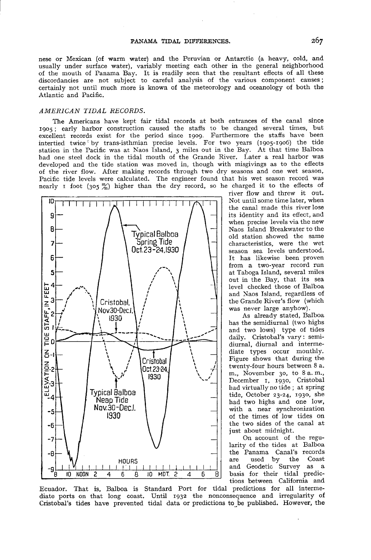**nese or Mexican (of warm water) and the Peruvian or Antarctic (a heavy, cold, and usually under surface water), variably meeting each other in the general neighborhood of the mouth of Panama Bay. It is readily seen that the resultant effects of all these discordancies are not subject to careful analysis of the various component causes; certainly not until much more is known of the meteorology and oceanology of both the Atlantic and Pacific.**

## *A M E R IC A N T ID A L RECOR D S.*

**The Americans have kept fair tidal records at both entrances of the canal since 1905; early harbor construction caused the staffs to be changed several times, but excellent records exist for the period since 1909. Furthermore the staffs have been intertied twice''by trans-isthmian precise levels. For two years (1905-1906) the tide** station in the Pacific was at Naos Island, 3 miles out in the Bay. At that time Balboa **had one steel dock in the tidal mouth of the Grande River. Later a real harbor was developed and the tide station was moved in, though with misgivings as to the effects of the river flow. After making records through two dry seasons and one wet season, Pacific tide levels were calculated. The engineer found that his wet season record was** nearly I foot  $(305 \frac{m}{6})$  higher than the dry record, so he charged it to the effects of



**river flow and threw it out. Not until some time later, when the canal made this river lose its identity and its effect, and when precise levels via the new Naos Island Breakwater to the old station showed the same characteristics, were the wet season sea levels understood. It has likewise been proven from a two-year record run at Taboga Island, several miles out in the Bay, that its sea level checked those of Balboa and Naos Island, regardless of the Grande River's flow (which was never large anyhow).**

**As already stated, Balboa has the semidiurnal (two highs and two lows) type of tides daily. Cristobal's vary : semidiurnal, diurnal and intermediate types occur monthly. Figure shows that during the twenty-four hours between 8 a. m., November 30, to 8 a. m., December 1, 1930, Cristobal had virtually no tide ; at spring tide, October 23-24, 1930, she had two highs and one low, with a near synchronization of the times of low tides on the two sides of the canal at just about midnight.**

**On account of the regularity of the tides at Balboa the Panama Canal's records** are used by **and Geodetic Survey as a basis for their tidal predictions between California and**

**Ecuador. That is, Balboa is Standard Port for tidal predictions for all intermediate ports on that long coast. Until 1932 the nonconsequence and irregularity of Cristobal's tides have prevented tidal data or predictions to be published. However, the**